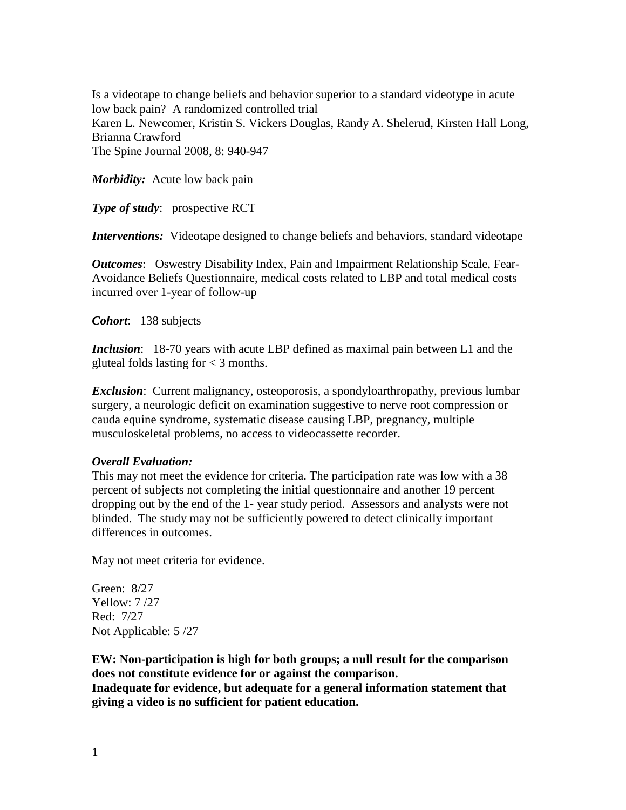Is a videotape to change beliefs and behavior superior to a standard videotype in acute low back pain? A randomized controlled trial Karen L. Newcomer, Kristin S. Vickers Douglas, Randy A. Shelerud, Kirsten Hall Long, Brianna Crawford The Spine Journal 2008, 8: 940-947

*Morbidity:* Acute low back pain

**Type of study:** prospective RCT

*Interventions:* Videotape designed to change beliefs and behaviors, standard videotape

*Outcomes*: Oswestry Disability Index, Pain and Impairment Relationship Scale, Fear-Avoidance Beliefs Questionnaire, medical costs related to LBP and total medical costs incurred over 1-year of follow-up

*Cohort*: 138 subjects

*Inclusion*: 18-70 years with acute LBP defined as maximal pain between L1 and the gluteal folds lasting for  $<$  3 months.

*Exclusion*: Current malignancy, osteoporosis, a spondyloarthropathy, previous lumbar surgery, a neurologic deficit on examination suggestive to nerve root compression or cauda equine syndrome, systematic disease causing LBP, pregnancy, multiple musculoskeletal problems, no access to videocassette recorder.

## *Overall Evaluation:*

This may not meet the evidence for criteria. The participation rate was low with a 38 percent of subjects not completing the initial questionnaire and another 19 percent dropping out by the end of the 1- year study period. Assessors and analysts were not blinded. The study may not be sufficiently powered to detect clinically important differences in outcomes.

May not meet criteria for evidence.

Green: 8/27 Yellow: 7 /27 Red: 7/27 Not Applicable: 5 /27

**EW: Non-participation is high for both groups; a null result for the comparison does not constitute evidence for or against the comparison. Inadequate for evidence, but adequate for a general information statement that giving a video is no sufficient for patient education.**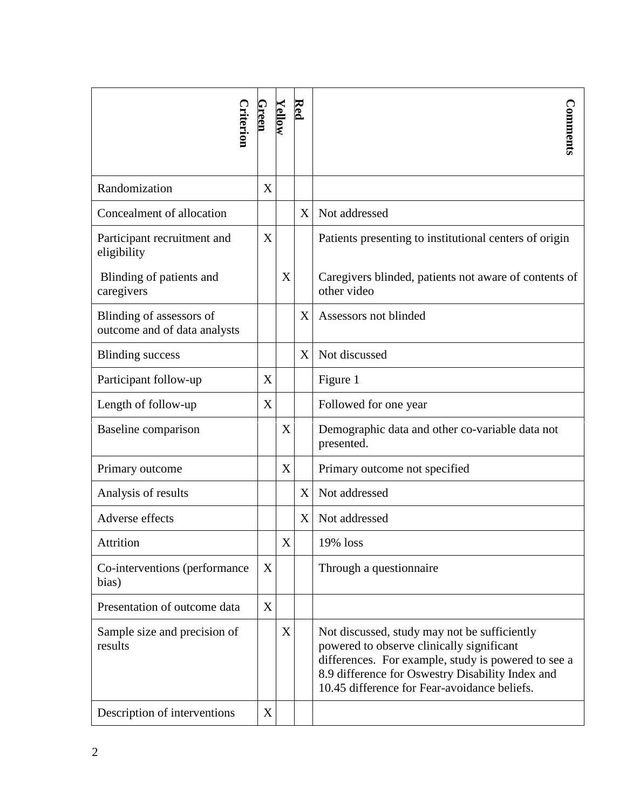| Criterion                                                | Green       | <u>Yellow</u> | Red | Comments                                                                                                                                                                                                                                             |
|----------------------------------------------------------|-------------|---------------|-----|------------------------------------------------------------------------------------------------------------------------------------------------------------------------------------------------------------------------------------------------------|
| Randomization                                            | X           |               |     |                                                                                                                                                                                                                                                      |
| Concealment of allocation                                |             |               | X   | Not addressed                                                                                                                                                                                                                                        |
| Participant recruitment and<br>eligibility               | X           |               |     | Patients presenting to institutional centers of origin                                                                                                                                                                                               |
| Blinding of patients and<br>caregivers                   |             | X             |     | Caregivers blinded, patients not aware of contents of<br>other video                                                                                                                                                                                 |
| Blinding of assessors of<br>outcome and of data analysts |             |               | X   | Assessors not blinded                                                                                                                                                                                                                                |
| <b>Blinding success</b>                                  |             |               | X   | Not discussed                                                                                                                                                                                                                                        |
| Participant follow-up                                    | X           |               |     | Figure 1                                                                                                                                                                                                                                             |
| Length of follow-up                                      | X           |               |     | Followed for one year                                                                                                                                                                                                                                |
| Baseline comparison                                      |             | X             |     | Demographic data and other co-variable data not<br>presented.                                                                                                                                                                                        |
| Primary outcome                                          |             | X             |     | Primary outcome not specified                                                                                                                                                                                                                        |
| Analysis of results                                      |             |               | X   | Not addressed                                                                                                                                                                                                                                        |
| Adverse effects                                          |             |               | X   | Not addressed                                                                                                                                                                                                                                        |
| Attrition                                                |             | X             |     | 19% loss                                                                                                                                                                                                                                             |
| Co-interventions (performance)<br>bias)                  | X           |               |     | Through a questionnaire                                                                                                                                                                                                                              |
| Presentation of outcome data                             | X           |               |     |                                                                                                                                                                                                                                                      |
| Sample size and precision of<br>results                  |             | X             |     | Not discussed, study may not be sufficiently<br>powered to observe clinically significant<br>differences. For example, study is powered to see a<br>8.9 difference for Oswestry Disability Index and<br>10.45 difference for Fear-avoidance beliefs. |
| Description of interventions                             | $\mathbf X$ |               |     |                                                                                                                                                                                                                                                      |